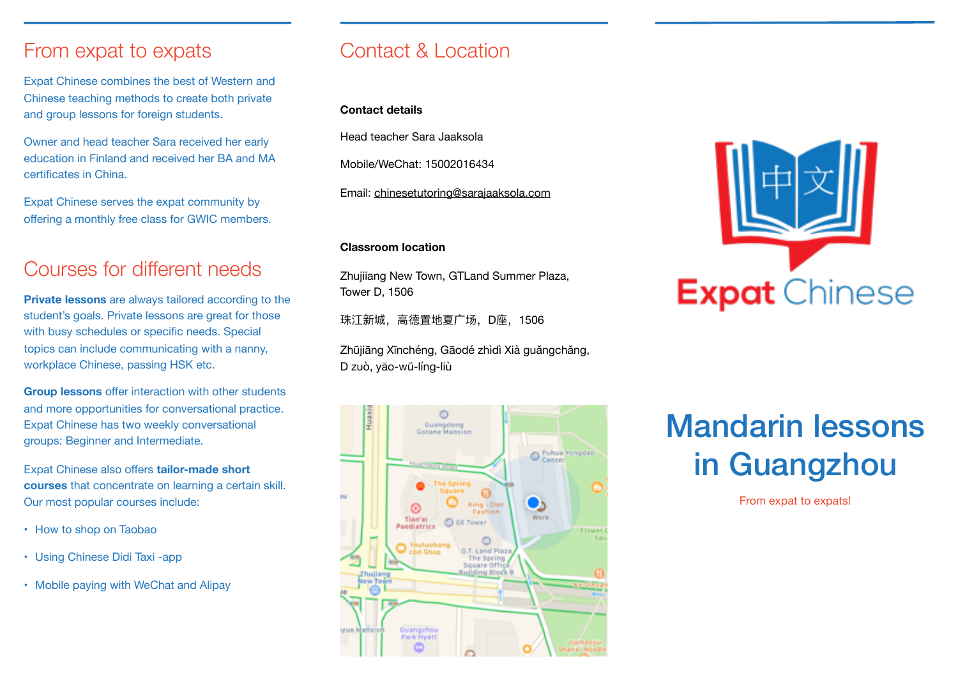### From expat to expats

Expat Chinese combines the best of Western and Chinese teaching methods to create both private and group lessons for foreign students.

Owner and head teacher Sara received her early education in Finland and received her BA and MA certificates in China.

Expat Chinese serves the expat community by offering a monthly free class for GWIC members.

## Courses for different needs

**Private lessons** are always tailored according to the student's goals. Private lessons are great for those with busy schedules or specific needs. Special topics can include communicating with a nanny, workplace Chinese, passing HSK etc.

**Group lessons** offer interaction with other students and more opportunities for conversational practice. Expat Chinese has two weekly conversational groups: Beginner and Intermediate.

Expat Chinese also offers **tailor-made short courses** that concentrate on learning a certain skill. Our most popular courses include:

- How to shop on Taobao
- Using Chinese Didi Taxi -app
- Mobile paying with WeChat and Alipay

### Contact & Location

#### **Contact details**

Head teacher Sara Jaaksola

Mobile/WeChat: 15002016434

Email: [chinesetutoring@sarajaaksola.com](mailto:chinesetutoring@sarajaaksola.com)

#### **Classroom location**

Zhujiiang New Town, GTLand Summer Plaza, Tower D, 1506

珠江新城, 高德置地夏广场, D座, 1506

Zhūjiāng Xīnchéng, Gāodé zhìdì Xià guăngchăng, D zuò, yāo-wŭ-líng-liù





# Mandarin lessons in Guangzhou

From expat to expats!